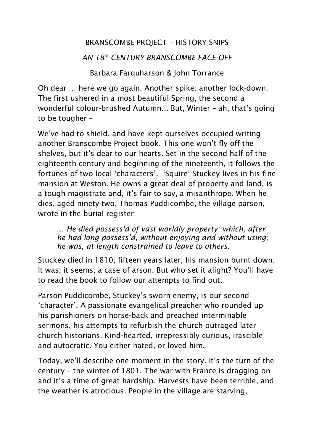## BRANSCOMBE PROJECT – HISTORY SNIPS

## *AN 18th CENTURY BRANSCOMBE FACE-OFF*

Barbara Farquharson & John Torrance

Oh dear … here we go again. Another spike: another lock-down. The first ushered in a most beautiful Spring, the second a wonderful colour-brushed Autumn... But, Winter – ah, that's going to be tougher –

We've had to shield, and have kept ourselves occupied writing another Branscombe Project book. This one won't fly off the shelves, but it's dear to our hearts. Set in the second half of the eighteenth century and beginning of the nineteenth, it follows the fortunes of two local 'characters'. 'Squire' Stuckey lives in his fine mansion at Weston. He owns a great deal of property and land, is a tough magistrate and, it's fair to say, a misanthrope. When he dies, aged ninety-two, Thomas Puddicombe, the village parson, wrote in the burial register:

… *He died possess'd of vast worldly property: which, after he had long possess'd, without enjoying and without using; he was, at length constrained to leave to others.* 

Stuckey died in 1810; fifteen years later, his mansion burnt down. It was, it seems, a case of arson. But who set it alight? You'll have to read the book to follow our attempts to find out.

Parson Puddicombe, Stuckey's sworn enemy, is our second 'character'. A passionate evangelical preacher who rounded up his parishioners on horse-back and preached interminable sermons, his attempts to refurbish the church outraged later church historians. Kind-hearted, irrepressibly curious, irascible and autocratic. You either hated, or loved him.

Today, we'll describe one moment in the story. It's the turn of the century – the winter of 1801. The war with France is dragging on and it's a time of great hardship. Harvests have been terrible, and the weather is atrocious. People in the village are starving,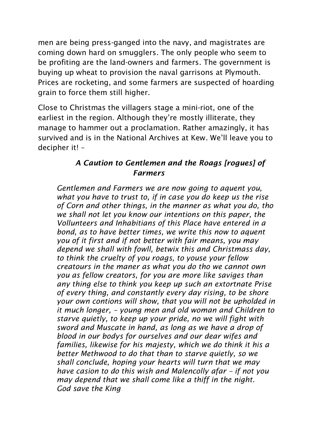men are being press-ganged into the navy, and magistrates are coming down hard on smugglers. The only people who seem to be profiting are the land-owners and farmers. The government is buying up wheat to provision the naval garrisons at Plymouth. Prices are rocketing, and some farmers are suspected of hoarding grain to force them still higher.

Close to Christmas the villagers stage a mini-riot, one of the earliest in the region. Although they're mostly illiterate, they manage to hammer out a proclamation. Rather amazingly, it has survived and is in the National Archives at Kew. We'll leave you to decipher it! –

## *A Caution to Gentlemen and the Roags [rogues] of Farmers*

*Gentlemen and Farmers we are now going to aquent you, what you have to trust to, if in case you do keep us the rise of Corn and other things, in the manner as what you do, tho we shall not let you know our intentions on this paper, the Vollunteers and Inhabitians of this Place have entered in a bond, as to have better times, we write this now to aquent you of it first and if not better with fair means, you may depend we shall with fowll, betwix this and Christmass day, to think the cruelty of you roags, to youse your fellow creatours in the maner as what you do tho we cannot own you as fellow creators, for you are more like saviges than any thing else to think you keep up such an extortnate Prise of every thing, and constantly every day rising, to be shore your own contions will show, that you will not be upholded in it much longer, – young men and old woman and Children to starve quietly, to keep up your pride, no we will fight with sword and Muscate in hand, as long as we have a drop of blood in our bodys for ourselves and our dear wifes and families, likewise for his majesty, which we do think it his a better Methwood to do that than to starve quietly, so we shall conclude, hoping your hearts will turn that we may have casion to do this wish and Malencolly afar – if not you may depend that we shall come like a thiff in the night. God save the King*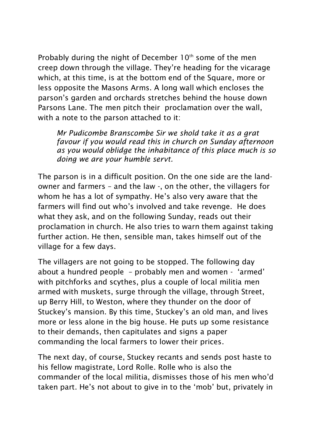Probably during the night of December  $10<sup>th</sup>$  some of the men creep down through the village. They're heading for the vicarage which, at this time, is at the bottom end of the Square, more or less opposite the Masons Arms. A long wall which encloses the parson's garden and orchards stretches behind the house down Parsons Lane. The men pitch their proclamation over the wall, with a note to the parson attached to it:

*Mr Pudicombe Branscombe Sir we shold take it as a grat favour if you would read this in church on Sunday afternoon as you would oblidge the inhabitance of this place much is so doing we are your humble servt.*

The parson is in a difficult position. On the one side are the landowner and farmers – and the law -, on the other, the villagers for whom he has a lot of sympathy. He's also very aware that the farmers will find out who's involved and take revenge. He does what they ask, and on the following Sunday, reads out their proclamation in church. He also tries to warn them against taking further action. He then, sensible man, takes himself out of the village for a few days.

The villagers are not going to be stopped. The following day about a hundred people – probably men and women - 'armed' with pitchforks and scythes, plus a couple of local militia men armed with muskets, surge through the village, through Street, up Berry Hill, to Weston, where they thunder on the door of Stuckey's mansion. By this time, Stuckey's an old man, and lives more or less alone in the big house. He puts up some resistance to their demands, then capitulates and signs a paper commanding the local farmers to lower their prices.

The next day, of course, Stuckey recants and sends post haste to his fellow magistrate, Lord Rolle. Rolle who is also the commander of the local militia, dismisses those of his men who'd taken part. He's not about to give in to the 'mob' but, privately in